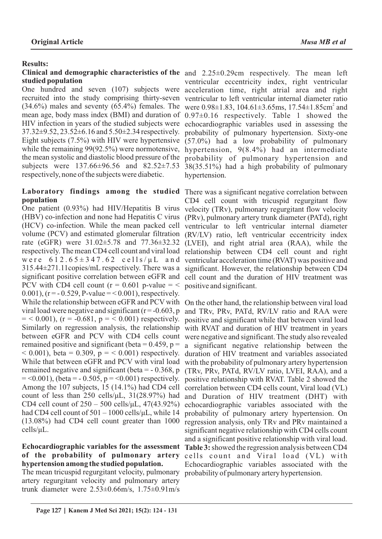## **studied population**

One hundred and seven (107) subjects were recruited into the study comprising thirty-seven (34.6%) males and seventy (65.4%) females. The mean age, body mass index (BMI) and duration of 37.32±9.52, 23.52±6.16 and 5.50±2.34 respectively. the mean systolic and diastolic blood pressure of the subjects were 137.66±96.56 and 82.52±7.53 respectively, none of the subjects were diabetic.

## **Laboratory findings among the studied** There was a significant negative correlation between **population**

One patient (0.93%) had HIV/Hepatitis B virus (HBV) co-infection and none had Hepatitis C virus (HCV) co-infection. While the mean packed cell volume (PCV) and estimated glomerular filtration rate (eGFR) were 31.02±5.78 and 77.36±32.32 respectively. The mean CD4 cell count and viral load were  $612.65 \pm 347.62$  cells/ $\mu$ L and 315.44±271.11copies/mL respectively. There was a significant positive correlation between eGFR and PCV with CD4 cell count  $(r = 0.601)$  p-value = < 0.001), ( $r = -0.529$ , P-value = < 0.001), respectively. viral load were negative and significant  $(r = -0.603, p$  $=$  < 0.001), (r = -0.681, p = < 0.001) respectively. between eGFR and PCV with CD4 cells count remained positive and significant (beta =  $0.459$ , p =  $(0.001)$ , beta = 0.309, p =  $(0.001)$  respectively. While that between eGFR and PCV with viral load remained negative and significant (beta  $= -0.368$ , p  $=$  <0.001), (beta = -0.505, p = <0.001) respectively. Among the 107 subjects, 15 (14.1%) had CD4 cell count of less than 250 cells/ $\mu$ L, 31(28.97%) had CD4 cell count of  $250 - 500$  cells/ $\mu$ L,  $47(43.92\%)$ had CD4 cell count of  $501 - 1000$  cells/ $\mu$ L, while 14 (13.08%) had CD4 cell count greater than 1000 cells/μL.

# **hypertension among the studied population.**

The mean tricuspid regurgitant velocity, pulmonary probability of pulmonary artery hypertension.artery regurgitant velocity and pulmonary artery trunk diameter were 2.53±0.66m/s, 1.75±0.91m/s

**Clinical and demographic characteristics of the**  and 2.25±0.29cm respectively. The mean left HIV infection in years of the studied subjects were echocardiographic variables used in assessing the Eight subjects (7.5%) with HIV were hypertensive (57.0%) had a low probability of pulmonary while the remaining 99(92.5%) were normotensive, hypertension, 9(8.4%) had an intermediate ventricular eccentricity index, right ventricular acceleration time, right atrial area and right ventricular to left ventricular internal diameter ratio were  $0.98\pm1.83$ ,  $104.61\pm3.65$ ms,  $17.54\pm1.85$ cm<sup>2</sup> and 0.97±0.16 respectively. Table 1 showed the probability of pulmonary hypertension. Sixty-one probability of pulmonary hypertension and 38(35.51%) had a high probability of pulmonary hypertension.

> CD4 cell count with tricuspid regurgitant flow velocity (TRv), pulmonary regurgitant flow velocity (PRv), pulmonary artery trunk diameter (PATd), right ventricular to left ventricular internal diameter (RV/LV) ratio, left ventricular eccentricity index (LVEI), and right atrial area (RAA), while the relationship between CD4 cell count and right ventricular acceleration time (RVAT) was positive and significant. However, the relationship between CD4 cell count and the duration of HIV treatment was positive and significant.

While the relationship between eGFR and PCV with On the other hand, the relationship between viral load Similarly on regression analysis, the relationship with RVAT and duration of HIV treatment in years **Echocardiographic variables for the assessment Table 3:**showed the regression analysis between CD4 **of the probability of pulmonary artery** cells count and Viral load (VL) with and TRv, PRv, PATd, RV/LV ratio and RAA were positive and significant while that between viral load were negative and significant. The study also revealed a significant negative relationship between the duration of HIV treatment and variables associated with the probability of pulmonary artery hypertension (TRv, PRv, PATd, RV/LV ratio, LVEI, RAA), and a positive relationship with RVAT. Table 2 showed the correlation between CD4 cells count, Viral load (VL) and Duration of HIV treatment (DHT) with echocardiographic variables associated with the probability of pulmonary artery hypertension. On regression analysis, only TRv and PRv maintained a significant negative relationship with CD4 cells count and a significant positive relationship with viral load. Echocardiographic variables associated with the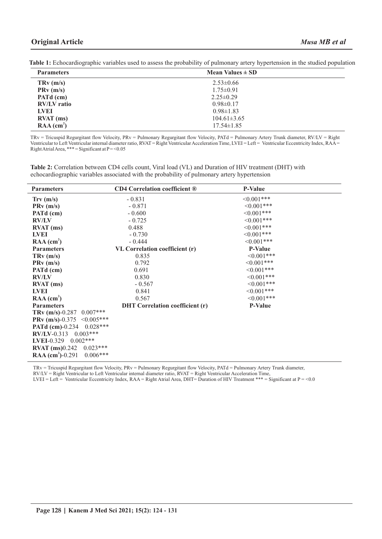#### **Original Article** *Musa MB et al*

**Table 1:** Echocardiographic variables used to assess the probability of pulmonary artery hypertension in the studied population

| <b>Parameters</b>                   | Mean Values $\pm$ SD |  |
|-------------------------------------|----------------------|--|
| TRv(m/s)                            | $2.53 \pm 0.66$      |  |
| PRv(m/s)                            | $1.75 \pm 0.91$      |  |
| PATd (cm)                           | $2.25 \pm 0.29$      |  |
| <b>RV/LV</b> ratio                  | $0.98 \pm 0.17$      |  |
| <b>LVEI</b>                         | $0.98 \pm 1.83$      |  |
| $\text{RVAT}\left(\text{ms}\right)$ | $104.61 \pm 3.65$    |  |
| $RAA$ (cm <sup>2</sup> )            | $17.54 \pm 1.85$     |  |

TRv = Tricuspid Regurgitant flow Velocity, PRv = Pulmonary Regurgitant flow Velocity, PATd = Pulmonary Artery Trunk diameter, RV/LV = Right Ventricular to Left Ventricular internal diameter ratio, RVAT = Right Ventricular Acceleration Time, LVEI = Left = Ventricular Eccentricity Index, RAA= Right Atrial Area, \*\*\* = Significant at P= <0.05

**Table 2:** Correlation between CD4 cells count, Viral load (VL) and Duration of HIV treatment (DHT) with echocardiographic variables associated with the probability of pulmonary artery hypertension

| <b>Parameters</b>                                 | <b>CD4 Correlation coefficient ®</b>   | <b>P-Value</b>   |
|---------------------------------------------------|----------------------------------------|------------------|
| Trv(m/s)                                          | $-0.831$                               | $\leq 0.001$ *** |
| PRv(m/s)                                          | $-0.871$                               | $\leq 0.001$ *** |
| PATd (cm)                                         | $-0.600$                               | $\leq 0.001$ *** |
| <b>RV/LV</b>                                      | $-0.725$                               | $<0.001***$      |
| $\text{RVAT}\left(\text{ms}\right)$               | 0.488                                  | $<0.001***$      |
| <b>LVEI</b>                                       | $-0.730$                               | $\leq 0.001$ *** |
| $RAA$ (cm <sup>2</sup> )                          | $-0.444$                               | $\leq 0.001$ *** |
| <b>Parameters</b>                                 | VL Correlation coefficient (r)         | <b>P-Value</b>   |
| TRv(m/s)                                          | 0.835                                  | $\leq 0.001$ *** |
| PRv(m/s)                                          | 0.792                                  | $\leq 0.001$ *** |
| PATd (cm)                                         | 0.691                                  | $<0.001***$      |
| <b>RV/LV</b>                                      | 0.830                                  | $<0.001***$      |
| $\text{RVAT}$ (ms)                                | $-0.567$                               | $<0.001***$      |
| <b>LVEI</b>                                       | 0.841                                  | $<0.001***$      |
| $RAA$ (cm <sup>2</sup> )                          | 0.567                                  | $\leq 0.001$ *** |
| <b>Parameters</b>                                 | <b>DHT</b> Correlation coefficient (r) | <b>P-Value</b>   |
| TRv (m/s)-0.287 $0.007***$                        |                                        |                  |
| PRv (m/s)-0.375 < 0.005***                        |                                        |                  |
| PATd (cm)-0.234 0.028***                          |                                        |                  |
| $RV/LV-0.313$ 0.003***                            |                                        |                  |
| LVEI-0.329 0.002***                               |                                        |                  |
| RVAT $(ms)0.242$ 0.023***                         |                                        |                  |
| <b>RAA</b> (cm <sup>2</sup> )-0.291<br>$0.006***$ |                                        |                  |

TRv = Tricuspid Regurgitant flow Velocity, PRv = Pulmonary Regurgitant flow Velocity, PATd = Pulmonary Artery Trunk diameter,

RV/LV = Right Ventricular to Left Ventricular internal diameter ratio, RVAT = Right Ventricular Acceleration Time,

LVEI = Left = Ventricular Eccentricity Index,  $RAA = Right$  Atrial Area, DHT= Duration of HIV Treatment \*\*\* = Significant at P = <0.0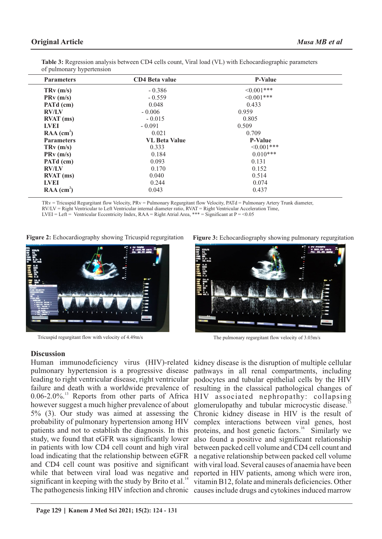| <b>Parameters</b>                   | <b>CD4</b> Beta value | <b>P-Value</b>   |  |
|-------------------------------------|-----------------------|------------------|--|
| TRv(m/s)                            | $-0.386$              | $<0.001***$      |  |
| PRv(m/s)                            | $-0.559$              | $\leq 0.001$ *** |  |
| PATd (cm)                           | 0.048                 | 0.433            |  |
| <b>RV/LV</b>                        | $-0.006$              | 0.959            |  |
| $\text{RVAT}\left(\text{ms}\right)$ | $-0.015$              | 0.805            |  |
| <b>LVEI</b>                         | $-0.091$              | 0.509            |  |
| $RAA$ (cm <sup>2</sup> )            | 0.021                 | 0.709            |  |
| <b>Parameters</b>                   | <b>VL Beta Value</b>  | <b>P-Value</b>   |  |
| TRv(m/s)                            | 0.333                 | $\leq 0.001$ *** |  |
| PRv(m/s)                            | 0.184                 | $0.010***$       |  |
| PATd (cm)                           | 0.093                 | 0.131            |  |
| <b>RV/LV</b>                        | 0.170                 | 0.152            |  |
| $\text{RVAT}\left(\text{ms}\right)$ | 0.040                 | 0.514            |  |
| <b>LVEI</b>                         | 0.244                 | 0.074            |  |
| $RAA$ (cm <sup>2</sup> )            | 0.043                 | 0.437            |  |

**Table 3:** Regression analysis between CD4 cells count, Viral load (VL) with Echocardiographic parameters of pulmonary hypertension

TRv = Tricuspid Regurgitant flow Velocity, PRv = Pulmonary Regurgitant flow Velocity, PATd = Pulmonary Artery Trunk diameter,

RV/LV = Right Ventricular to Left Ventricular internal diameter ratio, RVAT = Right Ventricular Acceleration Time,

LVEI = Left = Ventricular Eccentricity Index, RAA = Right Atrial Area, \*\*\* = Significant at P = <0.05

**Figure 2:** Echocardiography showing Tricuspid regurgitation



Tricuspid regurgitant flow with velocity of 4.49m/s

### **Discussion**

Human immunodeficiency virus (HIV)-related kidney disease is the disruption of multiple cellular pulmonary hypertension is a progressive disease leading to right ventricular disease, right ventricular podocytes and tubular epithelial cells by the HIV failure and death with a worldwide prevalence of 0.06-2.0%.<sup>13</sup> Reports from other parts of Africa HIV associated nephropathy: collapsing however suggest a much higher prevalence of about 5% (3). Our study was aimed at assessing the probability of pulmonary hypertension among HIV patients and not to establish the diagnosis. In this study, we found that eGFR was significantly lower in patients with low CD4 cell count and high viral load indicating that the relationship between eGFR and CD4 cell count was positive and significant while that between viral load was negative and significant in keeping with the study by Brito et al.<sup>14</sup>



The pulmonary regurgitant flow velocity of 3.03m/s

The pathogenesis linking HIV infection and chronic causes include drugs and cytokines induced marrow pathways in all renal compartments, including resulting in the classical pathological changes of glomerulopathy and tubular microcystic disease.<sup>1</sup> Chronic kidney disease in HIV is the result of complex interactions between viral genes, host proteins, and host genetic factors.<sup>16</sup> Similarly we also found a positive and significant relationship between packed cell volume and CD4 cell count and a negative relationship between packed cell volume with viral load. Several causes of anaemia have been reported in HIV patients, among which were iron, vitamin B12, folate and minerals deficiencies. Other

**Figure 3:** Echocardiography showing pulmonary regurgitation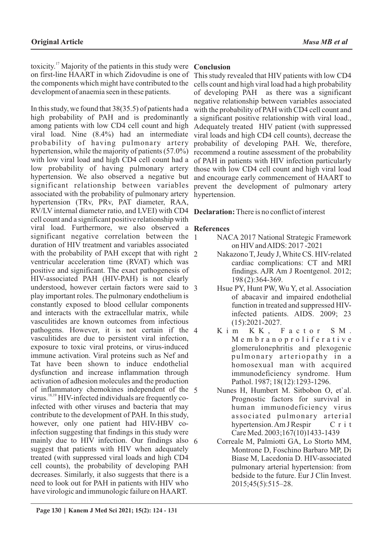<sup>17</sup> toxicity. Majority of the patients in this study were **Conclusion** on first-line HAART in which Zidovudine is one of the components which might have contributed to the development of anaemia seen in these patients.

In this study, we found that 38(35.5) of patients had a high probability of PAH and is predominantly among patients with low CD4 cell count and high viral load. Nine (8.4%) had an intermediate probability of having pulmonary artery hypertension, while the majority of patients (57.0%) with low viral load and high CD4 cell count had a low probability of having pulmonary artery hypertension. We also observed a negative but significant relationship between variables associated with the probability of pulmonary artery hypertension (TRv, PRv, PAT diameter, RAA, RV/LV internal diameter ratio, and LVEI) with CD4 **Declaration:** There is no conflict of interest cell count and a significant positive relationship with viral load. Furthermore, we also observed a **References** significant negative correlation between the duration of HIV treatment and variables associated with the probability of PAH except that with right 2 ventricular acceleration time (RVAT) which was positive and significant. The exact pathogenesis of HIV-associated PAH (HIV-PAH) is not clearly understood, however certain factors were said to play important roles. The pulmonary endothelium is constantly exposed to blood cellular components and interacts with the extracellular matrix, while vasculitides are known outcomes from infectious pathogens. However, it is not certain if the vasculitides are due to persistent viral infection, exposure to toxic viral proteins, or virus-induced immune activation. Viral proteins such as Nef and Tat have been shown to induce endothelial dysfunction and increase inflammation through activation of adhesion molecules and the production of inflammatory chemokines independent of the virus.  $18,19$  HIV-infected individuals are frequently coinfected with other viruses and bacteria that may contribute to the development of PAH. In this study, however, only one patient had HIV-HBV coinfection suggesting that findings in this study were mainly due to HIV infection. Our findings also 6 suggest that patients with HIV when adequately treated (with suppressed viral loads and high CD4 cell counts), the probability of developing PAH decreases. Similarly, it also suggests that there is a need to look out for PAH in patients with HIV who have virologic and immunologic failure on HAART.

This study revealed that HIV patients with low CD4 cells count and high viral load had a high probability of developing PAH as there was a significant negative relationship between variables associated with the probability of PAH with CD4 cell count and a significant positive relationship with viral load., Adequately treated HIV patient (with suppressed viral loads and high CD4 cell counts), decrease the probability of developing PAH. We, therefore, recommend a routine assessment of the probability of PAH in patients with HIV infection particularly those with low CD4 cell count and high viral load and encourage early commencement of HAART to prevent the development of pulmonary artery hypertension.

- 1 NACA 2017 National Strategic Framework on HIVand AIDS: 2017 -2021
	- 2 Nakazono T, Jeudy J, White CS. HIV-related cardiac complications: CT and MRI findings. AJR Am J Roentgenol. 2012; 198 (2):364-369.
		- Hsue PY, Hunt PW, Wu Y, et al. Association of abacavir and impaired endothelial function in treated and suppressed HIVinfected patients. AIDS. 2009; 23 (15):2021-2027.
		- Kim KK, Factor SM. M e m b r a n o p r o l i f e r a t i v e glomerulonephritis and plexogenic pulmonary arteriopathy in a homosexual man with acquired immunodeficiency syndrome. Hum Pathol. 1987; 18(12):1293-1296.
		- 5 Nunes H, Humbert M. Sitbobon O, et`al. Prognostic factors for survival in human immunodeficiency virus associated pulmonary arterial<br>hypertension.AmJRespir Crit hypertension. Am J Respir Care Med. 2003;167(10)1433-1439
		- 6 Correale M, Palmiotti GA, Lo Storto MM, Montrone D, Foschino Barbaro MP, Di Biase M, Lacedonia D. HIV-associated pulmonary arterial hypertension: from bedside to the future. Eur J Clin Invest. 2015;45(5):515–28.